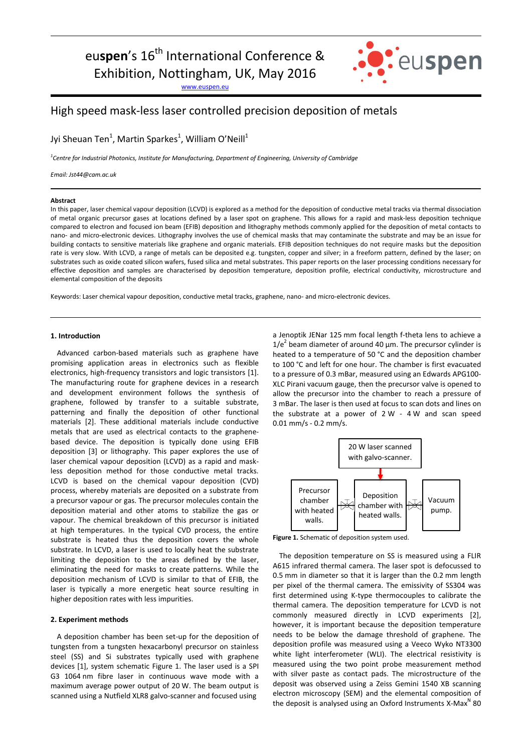# eu**spen**'s 16<sup>th</sup> International Conference & Exhibition, Nottingham, UK, May 2016

[www.euspen.eu](http://www.euspen.eu/)



# High speed mask-less laser controlled precision deposition of metals

Jyi Sheuan Ten<sup>1</sup>, Martin Sparkes<sup>1</sup>, William O'Neill<sup>1</sup>

*1 Centre for Industrial Photonics, Institute for Manufacturing, Department of Engineering, University of Cambridge*

*Email: Jst44@cam.ac.uk*

#### **Abstract**

In this paper, laser chemical vapour deposition (LCVD) is explored as a method for the deposition of conductive metal tracks via thermal dissociation of metal organic precursor gases at locations defined by a laser spot on graphene. This allows for a rapid and mask-less deposition technique compared to electron and focused ion beam (EFIB) deposition and lithography methods commonly applied for the deposition of metal contacts to nano- and micro-electronic devices. Lithography involves the use of chemical masks that may contaminate the substrate and may be an issue for building contacts to sensitive materials like graphene and organic materials. EFIB deposition techniques do not require masks but the deposition rate is very slow. With LCVD, a range of metals can be deposited e.g. tungsten, copper and silver; in a freeform pattern, defined by the laser; on substrates such as oxide coated silicon wafers, fused silica and metal substrates. This paper reports on the laser processing conditions necessary for effective deposition and samples are characterised by deposition temperature, deposition profile, electrical conductivity, microstructure and elemental composition of the deposits

Keywords: Laser chemical vapour deposition, conductive metal tracks, graphene, nano- and micro-electronic devices.

### **1. Introduction**

Advanced carbon-based materials such as graphene have promising application areas in electronics such as flexible electronics, high-frequency transistors and logic transistors [1]. The manufacturing route for graphene devices in a research and development environment follows the synthesis of graphene, followed by transfer to a suitable substrate, patterning and finally the deposition of other functional materials [2]. These additional materials include conductive metals that are used as electrical contacts to the graphenebased device. The deposition is typically done using EFIB deposition [3] or lithography. This paper explores the use of laser chemical vapour deposition (LCVD) as a rapid and maskless deposition method for those conductive metal tracks. LCVD is based on the chemical vapour deposition (CVD) process, whereby materials are deposited on a substrate from a precursor vapour or gas. The precursor molecules contain the deposition material and other atoms to stabilize the gas or vapour. The chemical breakdown of this precursor is initiated at high temperatures. In the typical CVD process, the entire substrate is heated thus the deposition covers the whole substrate. In LCVD, a laser is used to locally heat the substrate limiting the deposition to the areas defined by the laser, eliminating the need for masks to create patterns. While the deposition mechanism of LCVD is similar to that of EFIB, the laser is typically a more energetic heat source resulting in higher deposition rates with less impurities.

### **2. Experiment methods**

A deposition chamber has been set-up for the deposition of tungsten from a tungsten hexacarbonyl precursor on stainless steel (SS) and Si substrates typically used with graphene devices [1], system schematic [Figure 1.](#page-0-0) The laser used is a SPI G3 1064 nm fibre laser in continuous wave mode with a maximum average power output of 20 W. The beam output is scanned using a Nutfield XLR8 galvo-scanner and focused using

a Jenoptik JENar 125 mm focal length f-theta lens to achieve a  $1/e<sup>2</sup>$  beam diameter of around 40  $\mu$ m. The precursor cylinder is heated to a temperature of 50 °C and the deposition chamber to 100 °C and left for one hour. The chamber is first evacuated to a pressure of 0.3 mBar, measured using an Edwards APG100- XLC Pirani vacuum gauge, then the precursor valve is opened to allow the precursor into the chamber to reach a pressure of 3 mBar. The laser is then used at focus to scan dots and lines on the substrate at a power of 2 W - 4 W and scan speed 0.01 mm/s - 0.2 mm/s.



<span id="page-0-0"></span>**Figure 1.** Schematic of deposition system used.

The deposition temperature on SS is measured using a FLIR A615 infrared thermal camera. The laser spot is defocussed to 0.5 mm in diameter so that it is larger than the 0.2 mm length per pixel of the thermal camera. The emissivity of SS304 was first determined using K-type thermocouples to calibrate the thermal camera. The deposition temperature for LCVD is not commonly measured directly in LCVD experiments [2], however, it is important because the deposition temperature needs to be below the damage threshold of graphene. The deposition profile was measured using a Veeco Wyko NT3300 white light interferometer (WLI). The electrical resistivity is measured using the two point probe measurement method with silver paste as contact pads. The microstructure of the deposit was observed using a Zeiss Gemini 1540 XB scanning electron microscopy (SEM) and the elemental composition of the deposit is analysed using an Oxford Instruments  $X$ -Max<sup>N</sup> 80